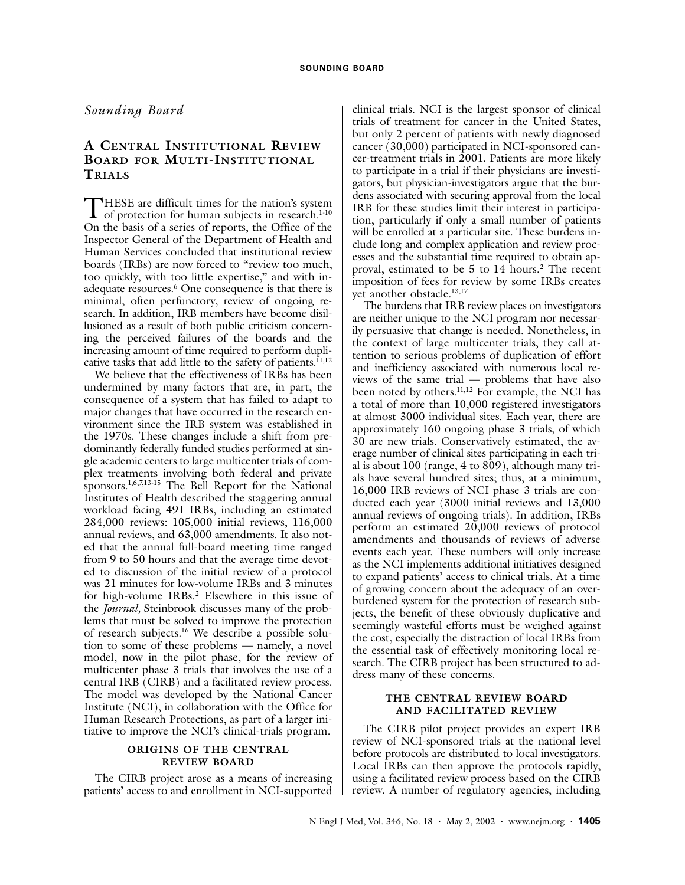# *Sounding Board*

# **A CENTRAL INSTITUTIONAL REVIEW BOARD FOR MULTI-INSTITUTIONAL TRIALS**

HESE are difficult times for the nation's system THESE are difficult times for the nation's system<br>of protection for human subjects in research.<sup>1-10</sup> On the basis of a series of reports, the Office of the Inspector General of the Department of Health and Human Services concluded that institutional review boards (IRBs) are now forced to "review too much, too quickly, with too little expertise," and with inadequate resources.<sup>6</sup> One consequence is that there is minimal, often perfunctory, review of ongoing research. In addition, IRB members have become disillusioned as a result of both public criticism concerning the perceived failures of the boards and the increasing amount of time required to perform duplicative tasks that add little to the safety of patients. $^{[1,12]}$ 

We believe that the effectiveness of IRBs has been undermined by many factors that are, in part, the consequence of a system that has failed to adapt to major changes that have occurred in the research environment since the IRB system was established in the 1970s. These changes include a shift from predominantly federally funded studies performed at single academic centers to large multicenter trials of complex treatments involving both federal and private sponsors.<sup>1,6,7,13-15</sup> The Bell Report for the National Institutes of Health described the staggering annual workload facing 491 IRBs, including an estimated 284,000 reviews: 105,000 initial reviews, 116,000 annual reviews, and 63,000 amendments. It also noted that the annual full-board meeting time ranged from 9 to 50 hours and that the average time devoted to discussion of the initial review of a protocol was 21 minutes for low-volume IRBs and 3 minutes for high-volume IRBs.<sup>2</sup> Elsewhere in this issue of the *Journal,* Steinbrook discusses many of the problems that must be solved to improve the protection of research subjects.16 We describe a possible solution to some of these problems — namely, a novel model, now in the pilot phase, for the review of multicenter phase 3 trials that involves the use of a central IRB (CIRB) and a facilitated review process. The model was developed by the National Cancer Institute (NCI), in collaboration with the Office for Human Research Protections, as part of a larger initiative to improve the NCI's clinical-trials program.

## **ORIGINS OF THE CENTRAL REVIEW BOARD**

The CIRB project arose as a means of increasing patients' access to and enrollment in NCI-supported clinical trials. NCI is the largest sponsor of clinical trials of treatment for cancer in the United States, but only 2 percent of patients with newly diagnosed cancer (30,000) participated in NCI-sponsored cancer-treatment trials in 2001. Patients are more likely to participate in a trial if their physicians are investigators, but physician-investigators argue that the burdens associated with securing approval from the local IRB for these studies limit their interest in participation, particularly if only a small number of patients will be enrolled at a particular site. These burdens include long and complex application and review processes and the substantial time required to obtain approval, estimated to be 5 to 14 hours.2 The recent imposition of fees for review by some IRBs creates yet another obstacle.13,17

The burdens that IRB review places on investigators are neither unique to the NCI program nor necessarily persuasive that change is needed. Nonetheless, in the context of large multicenter trials, they call attention to serious problems of duplication of effort and inefficiency associated with numerous local reviews of the same trial — problems that have also been noted by others.<sup>11,12</sup> For example, the NCI has a total of more than 10,000 registered investigators at almost 3000 individual sites. Each year, there are approximately 160 ongoing phase 3 trials, of which 30 are new trials. Conservatively estimated, the average number of clinical sites participating in each trial is about 100 (range, 4 to 809), although many trials have several hundred sites; thus, at a minimum, 16,000 IRB reviews of NCI phase 3 trials are conducted each year (3000 initial reviews and 13,000 annual reviews of ongoing trials). In addition, IRBs perform an estimated 20,000 reviews of protocol amendments and thousands of reviews of adverse events each year. These numbers will only increase as the NCI implements additional initiatives designed to expand patients' access to clinical trials. At a time of growing concern about the adequacy of an overburdened system for the protection of research subjects, the benefit of these obviously duplicative and seemingly wasteful efforts must be weighed against the cost, especially the distraction of local IRBs from the essential task of effectively monitoring local research. The CIRB project has been structured to address many of these concerns.

#### **THE CENTRAL REVIEW BOARD AND FACILITATED REVIEW**

The CIRB pilot project provides an expert IRB review of NCI-sponsored trials at the national level before protocols are distributed to local investigators. Local IRBs can then approve the protocols rapidly, using a facilitated review process based on the CIRB review. A number of regulatory agencies, including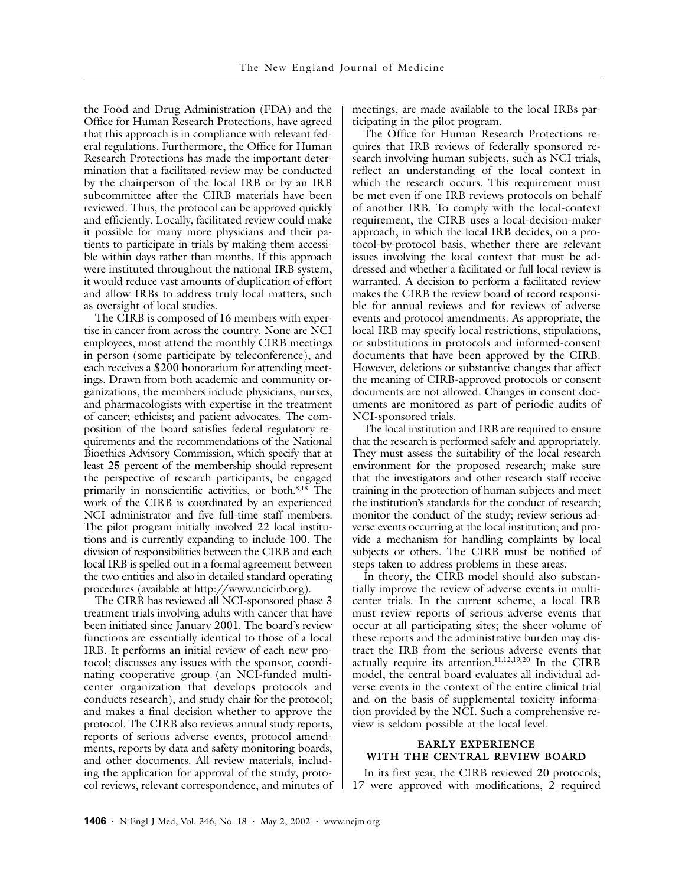the Food and Drug Administration (FDA) and the Office for Human Research Protections, have agreed that this approach is in compliance with relevant federal regulations. Furthermore, the Office for Human Research Protections has made the important determination that a facilitated review may be conducted by the chairperson of the local IRB or by an IRB subcommittee after the CIRB materials have been reviewed. Thus, the protocol can be approved quickly and efficiently. Locally, facilitated review could make it possible for many more physicians and their patients to participate in trials by making them accessible within days rather than months. If this approach were instituted throughout the national IRB system, it would reduce vast amounts of duplication of effort and allow IRBs to address truly local matters, such as oversight of local studies.

The CIRB is composed of 16 members with expertise in cancer from across the country. None are NCI employees, most attend the monthly CIRB meetings in person (some participate by teleconference), and each receives a \$200 honorarium for attending meetings. Drawn from both academic and community organizations, the members include physicians, nurses, and pharmacologists with expertise in the treatment of cancer; ethicists; and patient advocates. The composition of the board satisfies federal regulatory requirements and the recommendations of the National Bioethics Advisory Commission, which specify that at least 25 percent of the membership should represent the perspective of research participants, be engaged primarily in nonscientific activities, or both.<sup>8,18</sup> The work of the CIRB is coordinated by an experienced NCI administrator and five full-time staff members. The pilot program initially involved 22 local institutions and is currently expanding to include 100. The division of responsibilities between the CIRB and each local IRB is spelled out in a formal agreement between the two entities and also in detailed standard operating procedures (available at http://www.ncicirb.org).

The CIRB has reviewed all NCI-sponsored phase 3 treatment trials involving adults with cancer that have been initiated since January 2001. The board's review functions are essentially identical to those of a local IRB. It performs an initial review of each new protocol; discusses any issues with the sponsor, coordinating cooperative group (an NCI-funded multicenter organization that develops protocols and conducts research), and study chair for the protocol; and makes a final decision whether to approve the protocol. The CIRB also reviews annual study reports, reports of serious adverse events, protocol amendments, reports by data and safety monitoring boards, and other documents. All review materials, including the application for approval of the study, protocol reviews, relevant correspondence, and minutes of meetings, are made available to the local IRBs participating in the pilot program.

The Office for Human Research Protections requires that IRB reviews of federally sponsored research involving human subjects, such as NCI trials, reflect an understanding of the local context in which the research occurs. This requirement must be met even if one IRB reviews protocols on behalf of another IRB. To comply with the local-context requirement, the CIRB uses a local-decision-maker approach, in which the local IRB decides, on a protocol-by-protocol basis, whether there are relevant issues involving the local context that must be addressed and whether a facilitated or full local review is warranted. A decision to perform a facilitated review makes the CIRB the review board of record responsible for annual reviews and for reviews of adverse events and protocol amendments. As appropriate, the local IRB may specify local restrictions, stipulations, or substitutions in protocols and informed-consent documents that have been approved by the CIRB. However, deletions or substantive changes that affect the meaning of CIRB-approved protocols or consent documents are not allowed. Changes in consent documents are monitored as part of periodic audits of NCI-sponsored trials.

The local institution and IRB are required to ensure that the research is performed safely and appropriately. They must assess the suitability of the local research environment for the proposed research; make sure that the investigators and other research staff receive training in the protection of human subjects and meet the institution's standards for the conduct of research; monitor the conduct of the study; review serious adverse events occurring at the local institution; and provide a mechanism for handling complaints by local subjects or others. The CIRB must be notified of steps taken to address problems in these areas.

In theory, the CIRB model should also substantially improve the review of adverse events in multicenter trials. In the current scheme, a local IRB must review reports of serious adverse events that occur at all participating sites; the sheer volume of these reports and the administrative burden may distract the IRB from the serious adverse events that actually require its attention.11,12,19,20 In the CIRB model, the central board evaluates all individual adverse events in the context of the entire clinical trial and on the basis of supplemental toxicity information provided by the NCI. Such a comprehensive review is seldom possible at the local level.

## **EARLY EXPERIENCE WITH THE CENTRAL REVIEW BOARD**

In its first year, the CIRB reviewed 20 protocols; 17 were approved with modifications, 2 required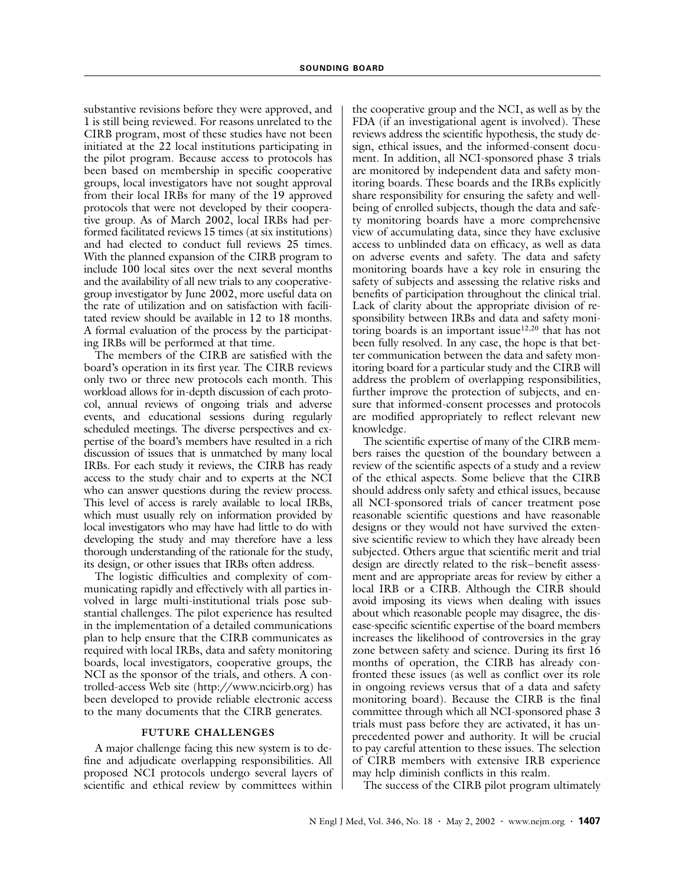substantive revisions before they were approved, and 1 is still being reviewed. For reasons unrelated to the CIRB program, most of these studies have not been initiated at the 22 local institutions participating in the pilot program. Because access to protocols has been based on membership in specific cooperative groups, local investigators have not sought approval from their local IRBs for many of the 19 approved protocols that were not developed by their cooperative group. As of March 2002, local IRBs had performed facilitated reviews 15 times (at six institutions) and had elected to conduct full reviews 25 times. With the planned expansion of the CIRB program to include 100 local sites over the next several months and the availability of all new trials to any cooperativegroup investigator by June 2002, more useful data on the rate of utilization and on satisfaction with facilitated review should be available in 12 to 18 months. A formal evaluation of the process by the participating IRBs will be performed at that time.

The members of the CIRB are satisfied with the board's operation in its first year. The CIRB reviews only two or three new protocols each month. This workload allows for in-depth discussion of each protocol, annual reviews of ongoing trials and adverse events, and educational sessions during regularly scheduled meetings. The diverse perspectives and expertise of the board's members have resulted in a rich discussion of issues that is unmatched by many local IRBs. For each study it reviews, the CIRB has ready access to the study chair and to experts at the NCI who can answer questions during the review process. This level of access is rarely available to local IRBs, which must usually rely on information provided by local investigators who may have had little to do with developing the study and may therefore have a less thorough understanding of the rationale for the study, its design, or other issues that IRBs often address.

The logistic difficulties and complexity of communicating rapidly and effectively with all parties involved in large multi-institutional trials pose substantial challenges. The pilot experience has resulted in the implementation of a detailed communications plan to help ensure that the CIRB communicates as required with local IRBs, data and safety monitoring boards, local investigators, cooperative groups, the NCI as the sponsor of the trials, and others. A controlled-access Web site (http://www.ncicirb.org) has been developed to provide reliable electronic access to the many documents that the CIRB generates.

### **FUTURE CHALLENGES**

A major challenge facing this new system is to define and adjudicate overlapping responsibilities. All proposed NCI protocols undergo several layers of scientific and ethical review by committees within the cooperative group and the NCI, as well as by the FDA (if an investigational agent is involved). These reviews address the scientific hypothesis, the study design, ethical issues, and the informed-consent document. In addition, all NCI-sponsored phase 3 trials are monitored by independent data and safety monitoring boards. These boards and the IRBs explicitly share responsibility for ensuring the safety and wellbeing of enrolled subjects, though the data and safety monitoring boards have a more comprehensive view of accumulating data, since they have exclusive access to unblinded data on efficacy, as well as data on adverse events and safety. The data and safety monitoring boards have a key role in ensuring the safety of subjects and assessing the relative risks and benefits of participation throughout the clinical trial. Lack of clarity about the appropriate division of responsibility between IRBs and data and safety monitoring boards is an important issue<sup>12,20</sup> that has not been fully resolved. In any case, the hope is that better communication between the data and safety monitoring board for a particular study and the CIRB will address the problem of overlapping responsibilities, further improve the protection of subjects, and ensure that informed-consent processes and protocols are modified appropriately to reflect relevant new knowledge.

The scientific expertise of many of the CIRB members raises the question of the boundary between a review of the scientific aspects of a study and a review of the ethical aspects. Some believe that the CIRB should address only safety and ethical issues, because all NCI-sponsored trials of cancer treatment pose reasonable scientific questions and have reasonable designs or they would not have survived the extensive scientific review to which they have already been subjected. Others argue that scientific merit and trial design are directly related to the risk–benefit assessment and are appropriate areas for review by either a local IRB or a CIRB. Although the CIRB should avoid imposing its views when dealing with issues about which reasonable people may disagree, the disease-specific scientific expertise of the board members increases the likelihood of controversies in the gray zone between safety and science. During its first 16 months of operation, the CIRB has already confronted these issues (as well as conflict over its role in ongoing reviews versus that of a data and safety monitoring board). Because the CIRB is the final committee through which all NCI-sponsored phase 3 trials must pass before they are activated, it has unprecedented power and authority. It will be crucial to pay careful attention to these issues. The selection of CIRB members with extensive IRB experience may help diminish conflicts in this realm.

The success of the CIRB pilot program ultimately